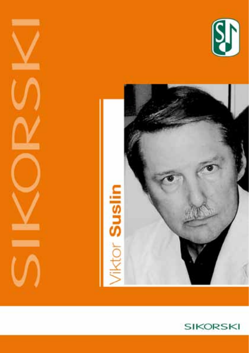





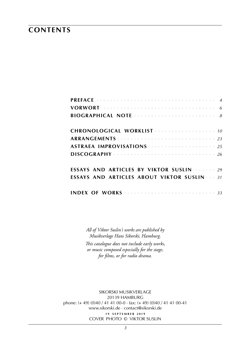### **contents**

| CHRONOLOGICAL WORKLIST                                  |
|---------------------------------------------------------|
|                                                         |
| ASTRAEA IMPROVISATIONS <b>Superintensive Strategies</b> |
|                                                         |
| <b>ESSAYS AND ARTICLES BY VIKTOR SUSLINE 1999</b>       |
| <b>ESSAYS AND ARTICLES ABOUT VIKTOR SUSLIN 31</b>       |
|                                                         |

*All of Viktor Suslin's works are published by Musikverlage Hans Sikorski, Hamburg.*

*This catalogue does not include early works, or music composed especially for the stage, for films, or for radio drama.*

sikorski Musikverlage 20139 hamburg phone: (+ 49) (0)40 / 41 41 00-0 · fax: (+ 49) (0)40 / 41 41 00-41 www.sikorski.de · contact@sikorski.de **1 9 s e p t e m b e r 2 0 1 9** cover photo © viktor suslin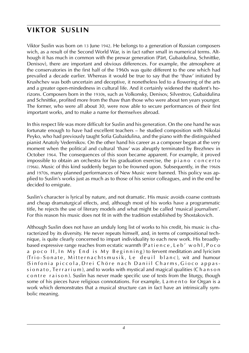# **viktor suslin**

Viktor Suslin was born on 13 June 1942. He belongs to a generation of Russian composers wich, as a result of the Second World War, is in fact rather small in numerical terms. Although it has much in common with the prewar generation (Pärt, Gubaidulina, Schnittke, Denisov), there are important and obvious differences. For example, the atmosphere at the conservatories in the first half of the 1960s was quite different to the one which had prevailed a decade earlier. Whereas it would be true to say that the 'thaw' initiated by Krushchev was both uncertain and deceptive, it nonetheless led to a flowering of the arts and a greater open-mindedness in cultural life. And it certainly widened the student's horizons. Composers born in the 1930s, such as Volkonsky, Denisov, Silvestrov, Gubaidulina and Schnittke, profited more from the thaw than those who were about ten years younger. The former, who were all about 30, were now able to secure performances of their first important works, and to make a name for themselves abroad.

In this respect life was more difficult for Suslin and his generation. On the one hand he was fortunate enough to have had excellent teachers – he studied composition with Nikolai Peyko, who had previously taught Sofia Gubaidulina, and the piano with the distinguished pianist Anatoly Vedernikov. On the other hand his career as a composer began at the very moment when the political and cultural 'thaw' was abruptly terminated by Brezhnev in October 1964. The consequences of this soon became apparent. For example, it proved impossible to obtain an orchestra for his graduation exercise, the  $p_i$  i a n o concerto (1966). Music of this kind suddenly began to be frowned upon. Subsequently, in the 1960s and 1970s, many planned performances of New Music were banned. This policy was applied to Suslin's works just as much as to those of his senior colleagues, and in the end he decided to emigrate.

Suslin's character is lyrical by nature, and not dramatic. His music avoids coarse contrasts and cheap dramaturgical effects, and, although most of his works have a programmatic title, he rejects the use of literary models and what might be called 'musical journalism'. For this reason his music does not fit in with the tradition established by Shostakovich.

Although Suslin does not have an unduly long list of works to his credit, his music is characterized by its diversity. He never repeats himself, and, in terms of compositional technique, is quite clearly concerned to impart individuality to each new work. His broadlybased expressive range reaches from ecstatic warmth (Patience, Leb' wohl, Poco a p o c o II, In My End is My Beginning) to fervent meditation and lyricism (Trio-Sonate, Mitternachtsmusik, Le deuil blanc), wit and humour (Sinfonia piccola, Drei Chöre nach Daniil Charms, Gioco appassionato, Terrarium), and to works with mystical and magical qualities (Chanson c o n t r e r a i s o n). Suslin has never made specific use of texts from the liturgy, though some of his pieces have religious connotations. For example, L a m e n t o for Organ is a work which demonstrates that a musical structure can in fact have an intrinsically symbolic meaning.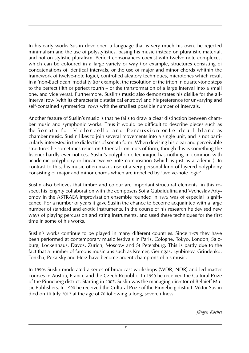In his early works Suslin developed a language that is very much his own. he rejected minimalism and the use of polystylistics, basing his music instead on pluralistic material, and not on stylistic pluralism. Perfect consonances coexist with twelve-note complexes, which can be coloured in a large variety of way (for example, structures consisting of concatenations of identical intervals, or the use of major and minor chords whithin the framework of twelve-note logic), controlled aleatory techniques, microtones which result in a 'non-Euclidean' modality (for example, the resolution of the triton in quarter-tone steps to the perfect fifth or perfect fourth – or the transformation of a large interval into a small one, and vice versa). Furthermore, Suslin's music also demonstrates his dislike for the allinterval row (with its characteristic statistical entropy) and his preference for unvarying and self-contained symmetrical rows with the smallest possible number of intervals.

Another feature of Suslin's music is that he fails to draw a clear distinction between chamber music and symphonic works. Thus it would be difficult to describe pieces such as the Sonata for Violoncello and Percussion or Le deuil blanc as chamber music. Suslin likes to join several movements into a single unit, and is not particularly interested in the dialectics of sonata form. When devising his clear and perceivable structures he sometimes relies on Oriental concepts of form, though this is something the listener hardly ever notices. Suslin's polyphonic technique has nothing in common with academic polyphony or linear twelve-note composition (which is just as academic). In contrast to this, his music often makes use of a very personal kind of layered polyphony consisting of major and minor chords which are impelled by 'twelve-note logic'.

Suslin also believes that timbre and colour are important structural elements. in this respect his lenghty collaboration with the composers Sofia Gubaidulina and Vycheslav Artyomov in the ASTRAEA improvisation ensemble founded in 1975 was of especial significance. For a number of years it gave Suslin the chance to become acquainted with a large number of standard and exotic instruments. In the course of his research he devised new ways of playing percussion and string instruments, and used these techniques for the first time in some of his works.

Suslin's works continue to be played in many different countries. Since 1979 they have been performed at contemporary music festivals in Paris, Cologne, Tokyo, London, Salzburg, Lockenhaus, Davos, Zurich, Moscow and St Petersburg. This is partly due to the fact that a number of famous musicians such as Kremer, Geringas, Lyubimov, Grindenko, Tonkha, Pekarsky and Herz have become ardent champions of his music.

In 1990s Suslin moderated a series of broadcast workshops (WDR, NDR) and led master courses in Austria, France and the Czech Republic. In 1990 he received the Cultural Prize of the Pinneberg district. Starting in 2007, Suslin was the managing director of Belaieff Music Publishers. In 1990 he received the Cultural Prize of the Pinneberg district. Viktor Suslin died on 10 July 2012 at the age of 70 following a long, severe illness.

*Jürgen Köchel*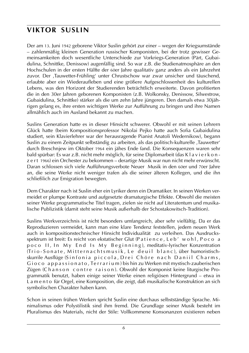# **viktor suslin**

Der am 13. Juni 1942 geborene Viktor Suslin gehört zur einer – wegen der Kriegsumstände – zahlenmäßig kleinen Generation russischer Komponisten, bei der trotz gewisser Gemeinsamkeiten doch wesentliche Unterschiede zur Vorkriegs-Generation (Pärt, Gubaidulina, Schnittke, Denissow) augenfällig sind. So war z.B. die Studienatmosphäre an den Hochschulen in der ersten Hälfte der 60er Jahre qualitativ ganz anders als ein Jahrzehnt zuvor. Der ,Tauwetter-Frühling' unter Chrustschow war zwar unsicher und täuschend, erlaubte aber ein Wiederaufleben und eine größere Aufgeschlossenheit des kulturellen Lebens, was den Horizont der Studierenden beträchtlich erweiterte. Davon profitierten die in den 30er Jahren geborenen Komponisten (z.B. Wolkonsky, Denissow, Silwestrow, Gubaidulina, Schnittke) stärker als die um zehn Jahre jüngeren. Den damals etwa 30jährigen gelang es, ihre ersten wichtigen Werke zur Aufführung zu bringen und ihre Namen allmählich auch im Ausland bekannt zu machen.

Suslins Generation hatte es in dieser Hinsicht schwerer. Obwohl er mit seinen Lehrern Glück hatte (beim Kompositionsprofessor Nikolai Pejko hatte auch Sofia Gubaidulina studiert, sein Klavierlehrer war der herausragende Pianist Anatoli Wedernikow), begann Suslin zu einem Zeitpunkt selbständig zu arbeiten, als das politisch-kulturelle ,Tauwetter' durch Breschnjew im Oktober 1964 ein jähes Ende fand. Die Konsequenzen waren sehr bald spürbar: Es war z.B. nicht mehr möglich, für seine Diplomarbeit (das K l a v i e r k o n z e r t 1966) ein Orchester zu bekommen – derartige Musik war nun nicht mehr erwünscht. Daran schlossen sich viele Aufführungsverbote Neuer Musik in den 60er und 70er Jahre an, die seine Werke nicht weniger trafen als die seiner älteren Kollegen, und die ihn schließlich zur Emigration bewegten.

Dem Charakter nach ist Suslin eher ein Lyriker denn ein Dramatiker. In seinen Werken vermeidet er plumpe Kontraste und aufgesetzte dramaturgische Effekte. Obwohl die meisten seiner Werke programmatische Titel tragen, zielen sie nicht auf Literatentum und musikalische Publizistik (damit steht seine Musik außerhalb der Schostakowitsch-Tradition).

Suslins Werkverzeichnis ist nicht besonders umfangreich, aber sehr vielfältig. Da er das Reproduzieren vermeidet, kann man eine klare Tendenz feststellen, jedem neuen Werk auch in kompositionstechnischer Hinsicht Individualität zu verleihen. Das Ausdrucksspektrum ist breit: Es reicht von ekstatischer Glut (Patience, Leb' wohl, Poco a poco II, In My End Is My Beginning), meditativ-lyrischer Konzentration (Trio-Sonate, Mitternachtsmusik, Le deuil blanc), über humoristischskurrile Ausflüge (Sinfonia piccola, Drei Chöre nach Daniil Charms, Gioco appassionato, Terrarium) bis hin zu Werken mit mystisch-zauberischen Zügen (Chanson contre raison). Obwohl der Komponist keine liturgische Programmatik benutzt, haben einige seiner Werke einen religiösen Hintergrund – etwa in L a m e n t o für Orgel, eine Komposition, die zeigt, daß musikalische Konstruktion an sich symbolischen Charakter haben kann.

Schon in seinen frühen Werken spricht Suslin eine durchaus selbstständige Sprache. Minimalismus oder Polystilistik sind ihm fremd. Die Grundlage seiner Musik besteht im Pluralismus des Materials, nicht der Stile: Vollkommene Konsonanzen existieren neben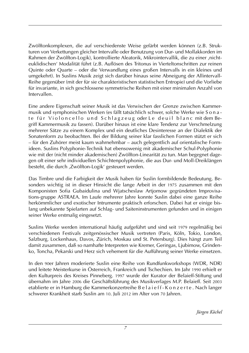Zwölftonkomplexen, die auf verschiedenste Weise gefärbt werden können (z.B. Strukturen von Verkettungen gleicher Intervalle oder Benutzung von Dur- und Mollakkorden im Rahmen der Zwölfton-Logik), kontrollierte Aleatorik, Mikrointervallik, die zu einer ,nichteuklidischen' Modalität führt (z.B. Auflösen des Tritonus in Vierteltonschritten zur reinen Quinte oder Quarte – oder die Verwandlung eines großen Intervalls in ein kleines und umgekehrt). In Suslins Musik zeigt sich darüber hinaus seine Abneigung der Allintervall-Reihe gegenüber (mit der für sie charakteristischen statistischen Entropie) und die Vorliebe für invariante, in sich geschlossene symmetrische Reihen mit einer minimalen Anzahl von Intervallen.

Eine andere Eigenschaft seiner Musik ist das Verwischen der Grenze zwischen Kammermusik und symphonischen Werken (es fällt tatsächlich schwer, solche Werke wie S o n a te für Violoncello und Schlagzeug oder Le deuil blanc mit dem Begriff Kammermusik zu fassen). Darüber hinaus ist eine klare Tendenz zur Verschmelzung mehrerer Sätze zu einem Komplex und ein deutliches Desinteresse an der Dialektik der Sonatenform zu beobachten. Bei der Bildung seiner klar fasslichen Formen stützt er sich – für den Zuhörer meist kaum wahrnehmbar – auch gelegentlich auf orientalische Formideen. Suslins Polyphonie-Technik hat ebensowenig mit akademischer Schul-Polyphonie wie mit der (nicht minder akademischen) Zwölfton-Linearität zu tun. Man begegnet dagegen oft einer sehr individuellen Schichtenpolyphonie, die aus Dur- und Moll-Dreiklängen besteht, die durch ,Zwölfton-Logik' gesteuert werden.

Das Timbre und die Farbigkeit der Musik haben für Suslin formbildende Bedeutung. Besonders wichtig ist in dieser Hinsicht die lange Arbeit in der 1975 zusammen mit den Komponisten Sofia Gubaidulina und Wjatscheslaw Artjomow gegründeten Improvisations-gruppe Astraea. Im Laufe mehrerer Jahre konnte Suslin dabei eine ganze Reihe herkömmlicher und exotischer Intrumente praktisch erforschen. Dabei hat er einige bislang unbekannte Spielarten auf Schlag- und Saiteninstrumenten gefunden und in einigen seiner Werke erstmalig eingesetzt.

Suslins Werke werden international häufig aufgeführt und sind seit 1979 regelmäßig bei verschiedenen Festivals zeitgenössischer Musik vertreten (Paris, Köln, Tokio, London, Salzburg, Lockenhaus, Davos, Zürich, Moskau und St. Petersburg). Dies hängt zum Teil damit zusammen, daß so namhafte Interpreten wie Kremer, Geringas, Ljubimow, Grindenko, Toncha, Pekarski und Herz sich vehement für die Aufführung seiner Werke einsetzen.

In den 90er Jahren moderierte Suslin eine Reihe von Rundfunkworkshops (WDR, NDR) und leitete Meisterkurse in Österreich, Frankreich und Tschechien. Im Jahr 1990 erhielt er den Kulturpreis des Kreises Pinneberg. 1997 wurde der Kurator der Belaieff-Stiftung und übernahm im Jahre 2006 die Geschäftsführung des Musikverlages M.P. Belaieff. Seit 2003 etablierte er in Hamburg die Kammerkonzertreihe B e l a i e f f - K o n z e r t e . Nach langer schwerer Krankheit starb Suslin am 10. Juli 2012 im Alter von 70 Jahren.

*Jürgen Köchel*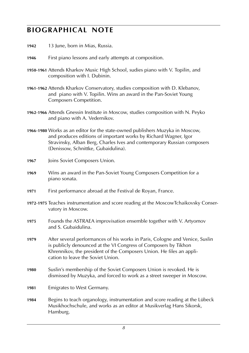# **biographical note**

- **1942** 13 June, born in Mias, Russia.
- **1946** First piano lessons and early attempts at composition.
- **1950**-**1961** Attends Kharkov Music High School, sudies piano with V. Topilin, and composition with I. Dubinin.
- **1961**-**1962** Attends Kharkov Conservatory, studies composition with D. Klebanov, and piano with V. Topilin. Wins an award in the Pan-Soviet Young Composers Competition.
- **1962**-**1966** Attends Gnessin Institute in Moscow, studies composition with N. Peyko and piano with A. Vedernikov.
- **1966**-**1980** Works as an editor for the state-owned publishers Muzyka in Moscow, and produces editions of important works by Richard Wagner, Igor Stravinsky, Alban Berg, Charles Ives and contemporary Russian composers (Denissow, Schnittke, Gubaidulina).
- **1967** Joins Soviet Composers Union.
- **1969** Wins an award in the Pan-Soviet Young Composers Competition for a piano sonata.
- **1971** First performance abroad at the Festival de Royan, France.
- **1972**-**1975** Teaches instrumentation and score reading at the MoscowTchaikovsky Conservatory in Moscow.
- **1975** Founds the ASTRAEA improvisation ensemble together with V. Artyomov and S. Gubaidulina.
- **1979** After several performances of his works in Paris, Cologne and Venice, Suslin is publicly denounced at the VI Congress of Composers by Tikhon Khrennikov, the president of the Composers Union. He files an application to leave the Soviet Union.
- **1980** Suslin's membership of the Soviet Composers Union is revoked. He is dismissed by Muzyka, and forced to work as a street sweeper in Moscow.
- **1981** Emigrates to West Germany.
- **1984** Begins to teach organology, instrumentation and score reading at the Lübeck Musikhochschule, and works as an editor at Musikverlag Hans Sikorsk, Hamburg.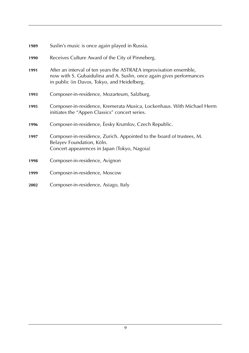| 1989 | Suslin's music is once again played in Russia.                                                                                                                                            |
|------|-------------------------------------------------------------------------------------------------------------------------------------------------------------------------------------------|
| 1990 | Receives Culture Award of the City of Pinneberg.                                                                                                                                          |
| 1991 | After an interval of ten years the ASTRAEA improvisation ensemble,<br>now with S. Gubaidulina and A. Suslin, once again gives performances<br>in public (in Davos, Tokyo, and Heidelberg. |
| 1993 | Composer-in-residence, Mozarteum, Salzburg.                                                                                                                                               |
| 1995 | Composer-in-residence, Kremerata Musica, Lockenhaus. With Michael Herm<br>initiates the "Appen Classics" concert series.                                                                  |
| 1996 | Composer-in-residence, Èesky Krumlov, Czech Republic.                                                                                                                                     |
| 1997 | Composer-in-residence, Zurich. Appointed to the board of trustees, M.<br>Belayev Foundation, Köln.<br>Concert appearences in Japan (Tokyo, Nagoia)                                        |
| 1998 | Composer-in-residence, Avignon                                                                                                                                                            |
| 1999 | Composer-in-residence, Moscow                                                                                                                                                             |
| 2002 | Composer-in-residence, Asiago, Italy                                                                                                                                                      |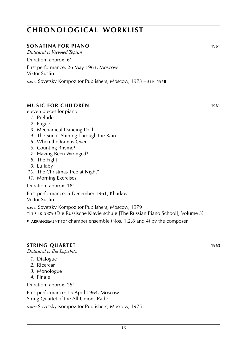#### **sonatina for piano 1961**

*Dedicated to Vsevolod Topilin*

Duration: approx. 6'

First performance: 26 May 1963, Moscow Viktor Suslin

*score:* Sovetsky Kompozitor Publishers, Moscow, 1973 – **s i k 1958**

#### **music for children 1961**

eleven pieces for piano

- *1*. Prelude
- *2*. Fugue
- *3*. Mechanical Dancing Doll
- *4*. The Sun is Shining Through the Rain
- *5*. When the Rain is Over
- *6*. Counting Rhyme\*
- *7*. Having Been Wronged\*
- *8*. The Fight
- *9*. Lullaby
- *10*. The Christmas Tree at Night\*
- *11*. Morning Exercises

Duration: approx. 18'

First performance: 5 December 1961, Kharkov Viktor Suslin

*score:* Sovetsky Kompozitor Publishers, Moscow, 1979

\*in **s i k 2379** (Die Russische Klavierschule [The Russian Piano School], Volume 3)

► **arrangement** for chamber ensemble (Nos. 1,2,8 and 4) by the composer.

#### **STRING QUARTET** 1963

*Dedicated to Ilia Lopschitz*

- *1*. Dialogue
- *2*. Ricercar
- *3*. Monologue
- *4*. Finale

Duration: approx. 25'

First performance: 15 April 1964, Moscow String Quartet of the All Unions Radio *score:* Sovetsky Kompozitor Publishers, Moscow, 1975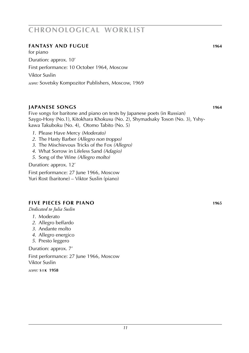#### **fantasy and fugue 1964**

for piano Duration: approx. 10' First performance: 10 October 1964, Moscow Viktor Suslin *score:* Sovetsky Kompozitor Publishers, Moscow, 1969

#### **japanese songs 1964**

Five songs for baritone and piano on texts by Japanese poets (in Russian) Saygo-Hosy (No.1), Kitokhara Khokusu (No. 2), Shymadsaky Toson (No. 3), Yshykawa Takuboku (No. 4), Otomo Tabito (No. 5)

- *1*. Please Have Mercy *(Moderato)*
- *2*. The Hasty Barber *(Allegro non troppo)*
- *3*. The Mischievous Tricks of the Fox *(Allegro)*
- *4*. What Sorrow in Lifeless Sand *(Adagio)*
- *5*. Song of the Wine *(Allegro molto)*

Duration: approx. 12'

First performance: 27 June 1966, Moscow Yuri Rost (baritone) – Viktor Suslin (piano)

#### **five pieces for piano 1965**

*Dedicated to Julia Suslin*

- *1*. Moderato
- *2*. Allegro beffardo
- *3*. Andante molto
- *4*. Allegro energico
- *5*. Presto leggero

Duration: approx. 7'

First performance: 27 June 1966, Moscow Viktor Suslin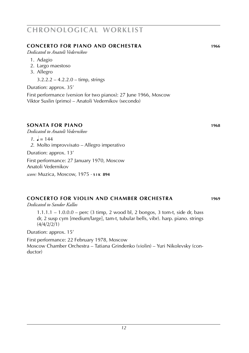#### **concerto for piano and orchestra 1966**

*Dedicated to Anatoli Vedernikov*

- 1. Adagio
- 2. Largo maestoso
- 3. Allegro

3.2.2.2 – 4.2.2.0 – timp, strings

Duration: approx. 35'

First performance (version for two pianos): 27 June 1966, Moscow Viktor Suslin (primo) – Anatoli Vedernikov (secondo)

#### **sonata for piano 1968**

*Dedicated to Anatoli Vedernikov*

 $1 \cdot \frac{1}{2} = 144$ 

*2*. Molto improvvisato – Allegro imperativo

Duration: approx. 13'

First performance: 27 January 1970, Moscow Anatoli Vedernikov

*score:* Muzica, Moscow, 1975 · **s i k 894**

### **concerto for violin and chamber orchestra 1969**

*Dedicated to Sandor Kallos*

1.1.1.1 – 1.0.0.0 – perc (3 timp, 2 wood bl, 2 bongos, 3 tom-t, side dr, bass dr, 2 susp cym [medium/large], tam-t, tubular bells, vibr). harp. piano. strings (4/4/2/2/1)

Duration: approx. 15'

First performance: 22 February 1978, Moscow Moscow Chamber Orchestra – Tatiana Grindenko (violin) – Yuri Nikolevsky (conductor)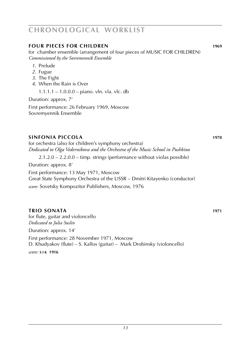#### **four pieces for children 1969**

for chamber ensemble (arrangement of four pieces of MUSIC FOR CHILDREN) *Commissioned by the Sovremennik Ensemble*

- *1*. Prelude
- *2*. Fugue
- *3*. The Fight
- *4*. When the Rain is Over

1.1.1.1 – 1.0.0.0 – piano. vln. vla. vlc. db

Duration: approx. 7'

First performance: 26 February 1969, Moscow Sovremyennik Ensemble

#### **sinfonia piccola 1970**

for orchestra (also for children's symphony orchestra) *Dedicated to Olga Vedernikova and the Orchestra of the Music School in Pushkino*

2.1.2.0 – 2.2.0.0 – timp. strings (performance without violas possible)

Duration: approx. 8'

First performance: 13 May 1971, Moscow

Great State Symphony Orchestra of the USSR – Dmitri Kitayenko (conductor)

*score:* Sovetsky Kompozitor Publishers, Moscow, 1976

#### **trio sonata 1971**

for flute, guitar and violoncello *Dedicated to Julia Suslin* Duration: approx. 14'

First performance: 28 November 1971, Moscow D. Khudyakov (flute) – S. Kallos (guitar) – Mark Drobinsky (violoncello)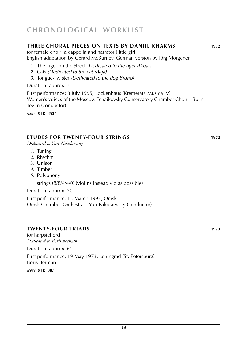#### **three choral pieces on Texts by daniil Kharms 1972**

for female choir a cappella and narrator (little girl) English adaptation by Gerard McBurney, German version by Jörg Morgener

- *1*. The Tiger on the Street *(Dedicated to the tiger Akbar)*
- *2*. Cats *(Dedicated to the cat Maja)*
- *3*. Tongue-Twister *(Dedicated to the dog Bruno)*

Duration: approx. 7'

First performance: 8 July 1995, Lockenhaus (Kremerata Musica IV) Women's voices of the Moscow Tchaikovsky Conservatory Chamber Choir – Boris Tevlin (conductor)

*score:* **s i k 8534**

#### **etudes for twenty-four strings 1972**

*Dedicated to Yuri Nikolaevsky*

- *1*. Tuning
- *2*. Rhythm
- 3. Unison
- *4*. Timber
- *5*. Polyphony

strings (8/8/4/4/0) (violins instead violas possible)

Duration: approx. 20'

First performance: 13 March 1997, Omsk Omsk Chamber Orchestra – Yuri Nikolaevsky (conductor)

#### **twenty-four triads 1973**

for harpsichord *Dedicated to Boris Berman* Duration: approx. 6' First performance: 19 May 1973, Leningrad (St. Petersburg) Boris Berman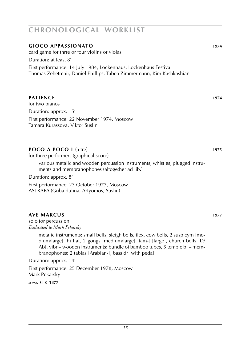#### **gioco appassionato 1974**

card game for thrre or four violins or violas

Duration: at least 8'

First performance: 14 July 1984, Lockenhaus, Lockenhaus Festival Thomas Zehetmair, Daniel Phillips, Tabea Zimmermann, Kim Kashkashian

#### **patience 1974**

for two pianos Duration: approx. 15' First performance: 22 November 1974, Moscow Tamara Kurassova, Viktor Suslin

#### **poco a poco I** (a tre) **1975**

for three performers (graphical score)

various metalic and wooden percussion instruments, whistles, plugged instruments and membranophones (altogether ad lib.)

Duration: approx. 8'

First performance: 23 October 1977, Moscow ASTRAEA (Gubaidulina, Artyomov, Suslin)

### **ave marcus 1977**

solo for percussion *Dedicated to Mark Pekarsky*

> metalic instruments: small bells, sleigh bells, flex, cow bells, 2 susp cym [medium/large], hi hat, 2 gongs [medium/large], tam-t [large], church bells [D/ Ab], vibr – wooden instruments: bundle of bamboo tubes, 5 temple bl – membranophones: 2 tablas [Arabian-], bass dr [with pedal]

Duration: approx. 14'

First performance: 25 December 1978, Moscow Mark Pekarsky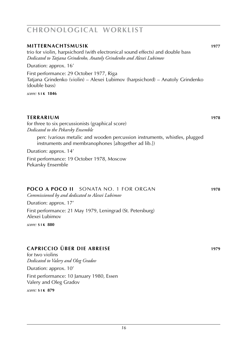### **mitternachtsmusik 1977** trio for violin, harpsichord (with electronical sound effects) and double bass *Dedicated to Tatjana Grindenko, Anatoly Grindenko and Alexei Lubimov* Duration: approx. 16' First performance: 29 October 1977, Riga Tatjana Grindenko (violin) – Alexei Lubimov (harpsichord) – Anatoly Grindenko (double bass) *score:* **s i k 1846 terrarium 1978 1978** for three to six percussionists (graphical score) *Dedicated to the Pekarsky Ensemble* perc (various metalic and wooden percussion instruments, whistles, plugged instruments and membranophones [altogether ad lib.]) Duration: approx. 14' First performance: 19 October 1978, Moscow Pekarsky Ensemble **poco a poco ii** sonata no. 1 for organ **1978** *Commissioned by and dedicated to Alexei Lubimov* Duration: approx. 17' First performance: 21 May 1979, Leningrad (St. Petersburg) Alexei Lubimov *score:* **s i k 880 capriccio über die abreise 1979**

for two violins *Dedicated to Valery and Oleg Gradov* Duration: approx. 10'

First performance: 10 January 1980, Essen Valery and Oleg Gradov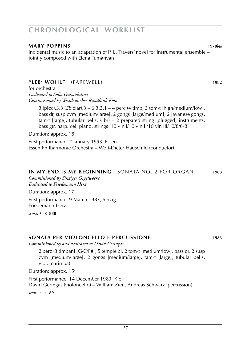#### **mary poppins 1970ies**

Incidental music to an adaptation of P. L. Travers' novel for instrumental ensemble – jointly composed with Elena Tumanyan

#### **"leb' wohl"** (farewell) **1982**

for orchestra *Dedicated to Sofia Gubaidulina Commissioned by Westdeutscher Rundfunk Köln*

> 3 (picc).3.3 (*Eb* clar).3 – 6.3.3.1 – 4 perc (4 timp, 3 tom-t [high/medium/low], bass dr, susp cym [medium/large], 2 gongs [large/medium], 2 Javanese gongs, tam-t [large], tubular bells, vibr) – 2 prepared string [plugged] instruments. bass gtr. harp. cel. piano. strings (10 vln I/10 vln II/10 vln III/10/8/6-8)

Duration: approx. 18'

First performance: 7 January 1993, Essen Essen Philharmonic Orchestra – Wolf-Dieter Hauschild (conductor)

#### **in my end is my beginning** sonata No. 2 for organ **1983**

*Commissioned by Sinziger Orgelwoche Dedicated to Friedemann Herz*

Duration: approx. 17'

First performance: 9 March 1983, Sinzig Friedemann Herz

*score:* **s i k 888**

#### **sonata per violoncello e percussione 1983**

*Commissioned by and dedicated to David Geringas*

2 perc (3 timpani [G/C/F#], 5 temple bl, 2 tom-t [medium/low], bass dr, 2 susp cym [medium/large], 2 gongs [medium/large], tam-t [large], tubular bells, vibr, marimba)

Duration: approx. 15'

First performance: 14 December 1983, Kiel David Geringas (violoncello) – William Zien, Andreas Schwarz (percussion) *score:* **s i k 891**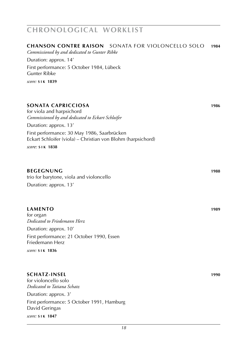#### **chanson contre raison** Sonata for violoncello solo **1984**

*Commissioned by and dedicated to Gunter Ribke*

Duration: approx. 14'

First performance: 5 October 1984, Lübeck Gunter Ribke

*score:* **s i k 1839**

#### **sonata capricciosa 1986**

for viola and harpsichord *Commissioned by and dedicated to Eckart Schloifer*

Duration: approx. 13'

First performance: 30 May 1986, Saarbrücken Eckart Schloifer (viola) – Christian von Blohm (harpsichord)

*score:* **s i k 1838**

#### **beginning 1988**

trio for barytone, viola and violoncello Duration: approx. 13'

#### **lamento 1989**

for organ *Dedicated to Friedemann Herz* Duration: approx. 10' First performance: 21 October 1990, Essen Friedemann Herz

*score:* **s i k 1836**

#### **schatz-insel 1990**

for violoncello solo *Dedicated to Tatiana Schatz* Duration: approx. 3' First performance: 5 October 1991, Hamburg David Geringas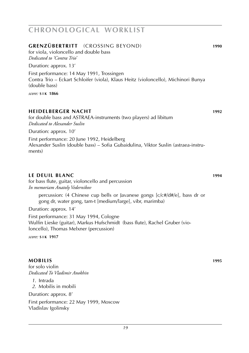#### **mobilis 1995**

for solo violin *Dedicated To Vladimir Anokhin*

*1*. Intrada

*2*. Mobilis in mobili

Duration: approx. 8'

First performance: 22 May 1999, Moscow Vladislav Igolinsky

### **chronological worklist**

### **grenzübertritt** (crossing beyond) **1990** for viola, violoncello and double bass *Dedicated to 'Contra Trio'* Duration: approx. 13' First performance: 14 May 1991, Trossingen Contra Trio – Eckart Schloifer (viola), Klaus Heitz (violoncello), Michinori Bunya (double bass) *score:* **s i k 1866**

#### **heidelberger nacht 1992**

for double bass and ASTRAEA-instruments (two players) ad libitum *Dedicated to Alexander Suslin*

Duration: approx. 10'

First performance: 20 June 1992, Heidelberg Alexander Suslin (double bass) – Sofia Gubaidulina, Viktor Suslin (astraea-instruments)

#### **le deuil blanc 1994**

for bass flute, guitar, violoncello and percussion *In memoriam Anatoly Vedernikov*

percussion: (4 Chinese cup bells or Javanese gongs [c/c#/d#/e], bass dr or gong dr, water gong, tam-t [medium/large], vibr, marimba)

Duration: approx. 14'

First performance: 31 May 1994, Cologne Wulfin Lieske (guitar), Markus Hufschmidt (bass flute), Rachel Gruber (violoncello), Thomas Melxner (percussion)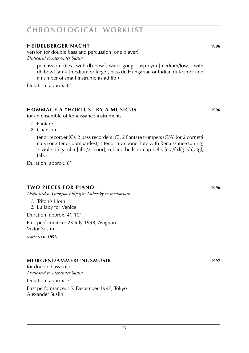#### **heidelberger nacht 1996**

version for double bass and percussion (one player) *Dedicated to Alexander Suslin*

percussion: (flex [with db bow], water gong, susp cym [medium/low – with db bow] tam-t [medium or large], bass dr, Hungarian or Indian dul-cimer and a number of small instruments ad lib.)

Duration: approx. 8'

#### **hommage a "hortus" by a musicus 1996**

for an ensemble of Renaissance instruments

- *1*. Fanfare
- *2*. Chanson

tenor recorder (C), 2 bass recorders (C), 2 Fanfare trumpets (G/A) (or 2 cornetti curvi or 2 tenor bombardes), 1 tenor trombone, lute with Renaissance tuning, 3 viole da gamba [alto/2 tenor], 6 hand bells or cup bells [c-a/f-d/g-e/a], tgl, tabor

Duration: approx. 8'

#### **two pieces for piano 1996**

*Dedicated to Grazyna Filipajtis-Lubotsky in memoriam*

- *1*. Triton's Horn
- *2*. Lullaby for Venice

Duration: approx. 4', 10'

First performance: 23 July 1998, Avignon Viktor Suslin

*score:* **s i k 1958**

#### **morgendämmerungsmusik 1997**

for double bass solo *Dedicated to Alexander Suslin*

Duration: approx. 7'

First performance: 15. December 1997, Tokyo Alexander Suslin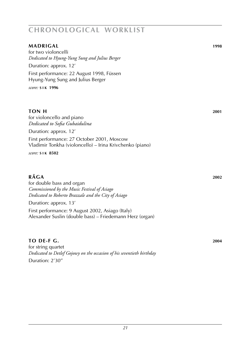### **madrigal 1998** for two violoncelli *Dedicated to Hyung-Yung Sung and Julius Berger* Duration: approx. 12' First performance: 22 August 1998, Füssen Hyung-Yung Sung and Julius Berger *score:* **s i k 1996 ton H 2001** for violoncello and piano *Dedicated to Sofia Gubaidulina* Duration: approx. 12'

First performance: 27 October 2001, Moscow Vladimir Tonkha (violoncello) – Irina Krivchenko (piano)

*score:* **s i k 8502**

#### **r rAGA** 2002

for double bass and organ *Commissioned by the Music Festival of Asiago Dedicated to Roberto Brazzale and the City of Asiago*

Duration: approx. 13'

First performance: 9 August 2002, Asiago (Italy) Alexander Suslin (double bass) – Friedemann Herz (organ)

#### **to De-f G. 2004**

for string quartet *Dedicated to Detlef Gojowy on the occasion of his seventieth birthday* Duration: 2'30''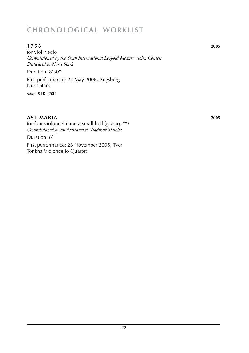#### **1 7 5 6 2005**

for violin solo *Commissioned by the Sixth International Leopold Mozart Violin Contest Dedicated to Nurit Stark* Duration: 8'30'' First performance: 27 May 2006, Augsburg Nurit Stark

*score:* **s i k 8535**

#### **ave maria 2005**

for four violoncelli and a small bell (g sharp '''') *Commissioned by an dedicated to Vladimir Tonkha*

Duration: 8'

First performance: 26 November 2005, Tver Tonkha Violoncello Quartet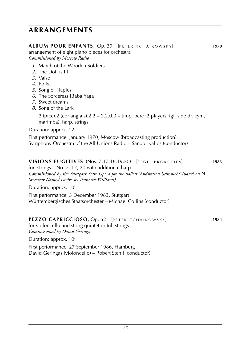### **arrangements**

| <b>ALBUM POUR ENFANTS, Op. 39</b> [PETER TCHAIKOWSKY]<br>arrangement of eight piano pieces for orchestra<br>Commissioned by Moscow Radio                                                                                                                          | 1970 |
|-------------------------------------------------------------------------------------------------------------------------------------------------------------------------------------------------------------------------------------------------------------------|------|
| 1. March of the Wooden Soldiers<br>2. The Doll is Ill<br>3. Valse<br>4. Polka<br>5. Song of Naples<br>6. The Sorceress [Baba Yaga]<br>7. Sweet dreams<br>8. Song of the Lark                                                                                      |      |
| 2 (picc).2 (cor anglais).2.2 – 2.2.0.0 – timp. perc (2 players: tgl, side dr, cym,<br>marimba). harp. strings                                                                                                                                                     |      |
| Duration: approx. 12'                                                                                                                                                                                                                                             |      |
| First performance: January 1970, Moscow (broadcasting production)<br>Symphony Orchestra of the All Unions Radio – Sandor Kallos (conductor)                                                                                                                       |      |
| VISIONS FUGITIVES (Nos. 7,17,18,19,20) [SEGEL PROKOFIEV]<br>for strings $-$ No. 7, 17, 20 with additional harp<br>Commissioned by the Stuttgart State Opera for the ballett 'Endstation Sehnsucht' (based on 'A<br>Streetcar Named Desire' by Tennessee Williams) | 1983 |

Duration: approx. 10'

First performance: 3 December 1983, Stuttgart Württembergisches Staatsorchester – Michael Collins (conductor)

#### **PEZZO CAPRICCIOSO**, Op. 62 [PETER TCHAIKOWSKY] **1984**

for violoncello and string quintet or full strings *Commissioned by David Geringas*

Duration: approx. 10'

First performance: 27 September 1986, Hamburg David Geringas (violoncello) – Robert Stehli (conductor)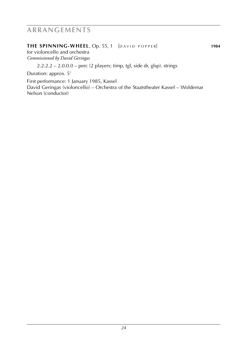### **arrangements**

#### **THE SPINNING-WHEEL**, Op. 55, 1 [DAVID POPPER] 1984

for violoncello and orchestra *Commissioned by David Geringas*

 $2.2.2.2 - 2.0.0.0 -$  perc (2 players: timp, tgl, side dr, glsp). strings

Duration: approx. 5'

First performance: 1 January 1985, Kassel David Geringas (violoncello) – Orchestra of the Staatstheater Kassel – Woldemar Nelson (conductor)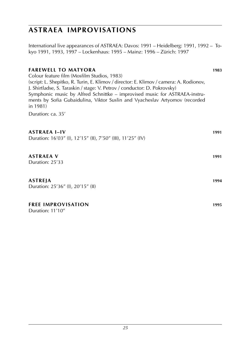### **astraea improvisations**

International live appearances of ASTRAEA: Davos: 1991 – Heidelberg: 1991, 1992 – Tokyo 1991, 1993, 1997 – Lockenhaus: 1995 – Mainz: 1996 – Zürich: 1997

#### **farewell to matyora 1983**

Colour feature film (Mosfilm Studios, 1983) (script: L. Shepitko, R. Turin, E. Klimov / director: E. Klimov / camera: A. Rodionov, J. Shirtladse, S. Taraskin / stage: V. Petrov / conductor: D. Pokrovsky) Symphonic music by Alfred Schnittke – improvised music for ASTRAEA-instruments by Sofia Gubaidulina, Viktor Suslin and Vyacheslav Artyomov (recorded in 1981)

Duration: ca. 35'

| <b>ASTRAEA I-IV</b><br>Duration: 16'03" (I), 12'15" (II), 7'50" (III), 11'25" (IV) | 1991 |
|------------------------------------------------------------------------------------|------|
| <b>ASTRAEA V</b><br>Duration: 25'33                                                | 1991 |
| ASTREJA<br>Duration: 25'36" (I), 20'15" (II)                                       | 1994 |
| <b>FREE IMPROVISATION</b><br>Duration: 11'10"                                      | 1995 |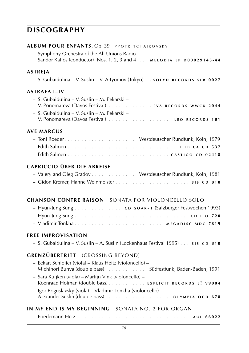### **discography**

#### **ALBUM POUR ENFANTS, Op. 39 PYOTR TCHAIKOVSKY**

 – Symphony Orchestra of the All Unions Radio – Sandor Kallos (conductor) [Nos. 1, 2, 3 and 4] . . . **m e l o d i a l p d 0 0 0 2 9 1 4 3 - 4 4**

#### **astreja**

– S. Gubaidulina – V. Suslin – V. Artyomov (Tokyo) . . **s o l y d r e c o r d s s l r 0 0 2 7**

#### **astraea i–IV**

| – S. Gubaidulina – V. Suslin – M. Pekarski – |
|----------------------------------------------|
|                                              |
| – S. Gubaidulina – V. Suslin – M. Pekarski – |
|                                              |

#### **ave marcus**

#### **capriccio über die abreise**

| - Valery and Oleg Gradov Westdeutscher Rundfunk, Köln, 1981 |  |
|-------------------------------------------------------------|--|
|                                                             |  |

#### **chanson contre raison** Sonata for violoncello solo

| - Hyun-Jung Sung c D s o A K - 1 (Salzburger Festwochen 1993) |  |  |
|---------------------------------------------------------------|--|--|
|                                                               |  |  |
| - Vladimir Tonkha MEGADISC MDC 7819                           |  |  |

#### **free improvisation**

– S. Gubaidulina – V. Suslin – A. Suslin (Lockenhaus Festival 1995) . . . **b i s c d 8 1 0**

#### **grenzübertritt** (crossing beyond)

| - Eckart Schloifer (viola) - Klaus Heitz (violoncello) -<br>Michinori Bunya (double bass)  Südfestfunk, Baden-Baden, 1991 |
|---------------------------------------------------------------------------------------------------------------------------|
| - Sara Kuijken (viola) - Martijn Vink (violoncello) -<br>Koenraad Hofman (double bass) EXPLICIT RECORDS E! 99004          |
| – Igor Boguslavsky (viola) – Vladimir Tonkha (violoncello) –                                                              |
| IN MY END IS MY BEGINNING - SONATA NO. 2 FOR ORGAN                                                                        |
|                                                                                                                           |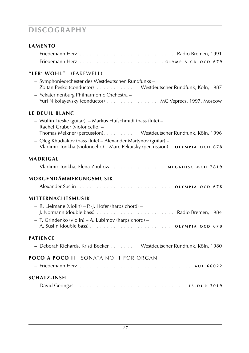### **discography**

#### **lamento**

#### **"leb' wohl"** (farewell)

- Symphonieorchester des Westdeutschen Rundfunks Zoltan Pesko (conductor) . . . . . . . . . . . . Westdeutscher Rundfunk, Köln, 1987
- Yekaterinenburg Philharmonic Orchestra Yuri Nikolayevsky (conductor) . . . . . . . . . . . . . . . MC Veprecs, 1997, Moscow

#### **le deuil blanc**

| - Wulfin Lieske (guitar) – Markus Hufschmidt (bass flute) –     |  |  |  |  |  |
|-----------------------------------------------------------------|--|--|--|--|--|
| Rachel Gruber (violoncello) –                                   |  |  |  |  |  |
| Thomas Melxner (percussion). Westdeutscher Rundfunk, Köln, 1996 |  |  |  |  |  |
| - Oleg Khudiakov (bass flute) - Alexander Martynov (guitar) -   |  |  |  |  |  |

Vladimir Tonkha (violoncello) – Marc Pekarsky (percussion). **o l y m p i a o c d 6 7 8**

#### **madrigal**

|  |  |  | - Vladimir Tonkha, Elena Zhuliova | MEGADISC MCD 7819 |  |  |
|--|--|--|-----------------------------------|-------------------|--|--|
|--|--|--|-----------------------------------|-------------------|--|--|

#### **morgendämmerungsmusik**

|  | OLYMPIA OCD 678 |  |
|--|-----------------|--|
|  |                 |  |

#### **mitternachtsmusik**

| $-$ R. Lielmane (violin) $-$ P.-J. Hofer (harpsichord) $-$ |  |
|------------------------------------------------------------|--|
|                                                            |  |
| $-$ T. Grindenko (violin) – A. Lubimov (harpsichord) –     |  |
|                                                            |  |

#### **patience**

| - Deborah Richards, Kristi Becker | Westdeutscher Rundfunk, Köln, 1980 |
|-----------------------------------|------------------------------------|
|-----------------------------------|------------------------------------|

#### **poco a poco ii** sonata no. 1 for organ

| <b>SCHATZ-INSEL</b> |  |
|---------------------|--|
|                     |  |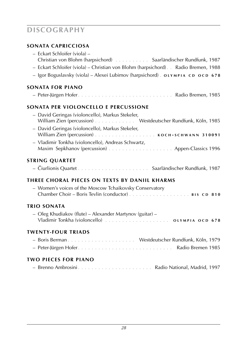# **discography**

### **sonata capricciosa**

| - Eckart Schloifer (viola) -<br>Christian von Blohm (harpsichord) Saarländischer Rundfunk, 1987<br>- Eckart Schloifer (viola) - Christian von Blohm (harpsichord). . Radio Bremen, 1988<br>- Igor Boguslavsky (viola) - Alexei Lubimov (harpsichord) . OLYMPIA CD OCD 678 |
|---------------------------------------------------------------------------------------------------------------------------------------------------------------------------------------------------------------------------------------------------------------------------|
| <b>SONATA FOR PIANO</b>                                                                                                                                                                                                                                                   |
|                                                                                                                                                                                                                                                                           |
| SONATA PER VIOLONCELLO E PERCUSSIONE                                                                                                                                                                                                                                      |
| - David Geringas (violoncello), Markus Stekeler,<br>William Zien (percussion) Westdeutscher Rundfunk, Köln, 1985<br>- David Geringas (violoncello), Markus Stekeler,                                                                                                      |
| - Vladimir Tonkha (violoncello), Andreas Schwartz,                                                                                                                                                                                                                        |
| <b>STRING QUARTET</b>                                                                                                                                                                                                                                                     |
|                                                                                                                                                                                                                                                                           |
| THREE CHORAL PIECES ON TEXTS BY DANIIL KHARMS                                                                                                                                                                                                                             |
| - Women's voices of the Moscow Tchaikovsky Conservatory                                                                                                                                                                                                                   |
| TRIO SONATA                                                                                                                                                                                                                                                               |
| - Oleg Khudiakov (flute) - Alexander Martynov (guitar) -                                                                                                                                                                                                                  |
| <b>TWENTY-FOUR TRIADS</b>                                                                                                                                                                                                                                                 |
|                                                                                                                                                                                                                                                                           |
| <b>TWO PIECES FOR PIANO</b>                                                                                                                                                                                                                                               |
|                                                                                                                                                                                                                                                                           |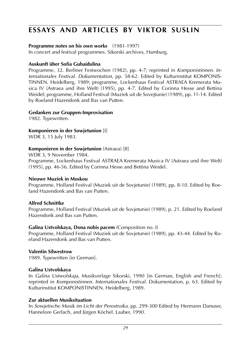# **essays and articles by viktor suslin**

#### **Programme notes on his own works** (1981-1997)

In concert and festival programmes. Sikorski archives, Hamburg.

#### **Auskunft über Sofia Gubaidulina**

Programme, 32. Berliner Festwochen (1982), pp. 4-7; reprinted in *Komponistinnen. Internationales Festival. Dokumentation*, pp. 58-62. Edited by Kulturinstitut KOMPONIS-TINNEN. Heidelberg, 1989; programme, Lockenhaus Festival ASTRAEA Kremerata Musica IV (Astraea und ihre Welt) (1995), pp. 4-7. Edited by Corinna Hesse and Bettina Weidel; programme, Holland Festival (Muziek uit de Sovejtunie) (1989), pp. 11-14. Edited by Roeland Hazendonk and Bas van Putten.

#### **Gedanken zur Gruppen-Improvisation**

1982. Typewritten.

#### **Komponieren in der Sowjetunion** [I]

WDR 3, 15 July 1983.

#### **Komponieren in der Sowjetunion** (Astraea) [II]

WDR 3, 9 November 1984.

Programme, Lockenhaus Festival ASTRAEA Kremerata Musica IV (Astraea und ihre Welt) (1995), pp. 46-56. Edited by Corinna Hesse and Bettina Weidel.

#### **Nieuwe Muziek in Moskou**

Programme, Holland Festival (Muziek uit de Sovjetunie) (1989), pp. 8-10. Edited by Roeland Hazendonk and Bas van Putten.

#### **Alfred Schnittke**

Programme, Holland Festival (Muziek uit de Sovjetunie) (1989), p. 21. Edited by Roeland Hazendonk and Bas van Putten.

#### **Galina Ustvolskaya, Dona nobis pacem** (Composition no. I)

Programme, Holland Festival (Muziek uit de Sovjetunie) (1989), pp. 43-44. Edited by Roeland Hazendonk and Bas van Putten.

#### **Valentin Silwestrow**

1989. Typewritten [in German].

#### **Galina Ustvolskaya**

In *Galina Ustwolskaja*, Musikverlage Sikorski, 1990 [in German, English and French]; reprinted in *Komponistinnen. Internationales Festival.* Dokumentation, p. 63. Edited by Kulturinstitut KOMPONISTINNEN. Heidelberg, 1989.

#### **Zur aktuellen Musiksituation**

In *Sowjetische Musik im Licht der Perestroika*, pp. 299-300 Edited by Hermann Danuser, Hannelore Gerlach, and Jürgen Köchel. Laaber, 1990.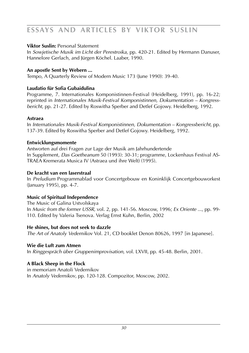# **essays and articles by viktor suslin**

#### **Viktor Suslin:** Personal Statement

In *Sowjetische Musik im Licht der Perestroika*, pp. 420-21. Edited by Hermann Danuser, Hannelore Gerlach, and Jürgen Köchel. Laaber, 1990.

#### **An apostle Sent by Webern ...**

Tempo, A Quarterly Review of Modern Music 173 (June 1990): 39-40.

#### **Laudatio für Sofia Gubaidulina**

Programme, 7. Internationales Komponistinnen-Festival (Heidelberg, 1991), pp. 16-22; reprinted in *Internationales Musik-Festival Komponistinnen, Dokumentation – Kongressbericht*, pp. 21-27. Edited by Roswitha Sperber and Detlef Gojowy. Heidelberg, 1992.

#### **Astraea**

In *Internationales Musik-Festival Komponistinnen, Dokumentation – Kongressbericht*, pp. 137-39. Edited by Roswitha Sperber and Detlef Gojowy. Heidelberg, 1992.

#### **Entwicklungsmomente**

Antworten auf drei Fragen zur Lage der Musik am Jahrhundertende In Supplement, *Das Goetheanum* 50 (1993): 30-31; programme, Lockenhaus Festival AS-TRAEA Kremerata Musica IV (Astraea und ihre Welt) (1995).

#### **De kracht van een laserstraal**

In *Preludium* Programmablad voor Concertgebouw en Koninklijk Concertgebouworkest (January 1995), pp. 4-7.

#### **Music of Spiritual Independence**

The Music of Galina Ustvolskaya In *Music from the former USSR*, vol. 2, pp. 141-56. Moscow, 1996; *Ex Oriente ...*, pp. 99- 110. Edited by Valeria Tsenova. Verlag Ernst Kuhn, Berlin, 2002

#### **He shines, but does not seek to dazzle**

*The Art of Anatoly Vedernikov* Vol. 21, CD booklet Denon 80626, 1997 [in Japanese].

#### **Wie die Luft zum Atmen**

In *Ringgespräch über Gruppenimprovisation*, vol. LXVII, pp. 45-48. Berlin, 2001.

#### **A Black Sheep in the Flock**

in memoriam Anatoli Vedernikov In *Anatoly Vedernikov*, pp. 120-128. Compozitor, Moscow, 2002.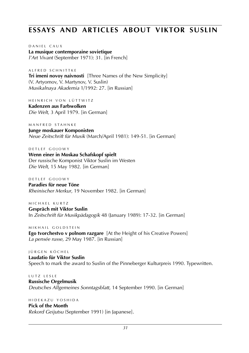### **essays and articles about viktor suslin**

D A N I E L C A U X **La musique contemporaine sovietique** *l'Art Vivant* (September 1971): 31. [in French]

A LERED SCHNITTKE **Tri imeni novoy naivnosti** [Three Names of the New Simplicity] (V. Artyomov, V. Martynov, V. Suslin) *Musikalnaya Akademia* 1/1992: 27. [in Russian]

HEINRICH VON LÜTTWITZ

**Kadenzen aus Farbwolken** *Die Welt*, 3 April 1979. [in German]

M A N F R F D S T A H N K F

**Junge moskauer Komponisten** *Neue Zeitschrift für Musik* (March/April 1981): 149-51. [in German]

D E T L E F G O LOWY **Wenn einer in Moskau Schafskopf spielt** Der russische Komponist Viktor Suslin im Westen *Die Welt*, 15 May 1982. [in German]

D E T L E F G O LOWY **Paradies für neue Töne** *Rheinischer Merkur*, 19 November 1982. [in German]

M I C H A E L K U R T Z **Gespräch mit Viktor Suslin** In *Zeitschrift für Musikpädagogik* 48 (January 1989): 17-32. [in German]

M I K H A I L G O L D S T E I N **Ego tvorchestvo v polnom razgare** [At the Height of his Creative Powers] *La pensée russe*, 29 May 1987. [in Russian]

I Ü R G E N K Ö C H E L **Laudatio für Viktor Suslin** Speech to mark the award to Suslin of the Pinneberger Kulturpreis 1990. Typewritten.

L U T Z L E S L E **Russische Orgelmusik** *Deutsches Allgemeines Sonntagsblatt*, 14 September 1990. [in German]

**Pick of the Month** *Rekord Geijutsu* (September 1991) [in Japanese].

h i d e k a z u y o s h i d a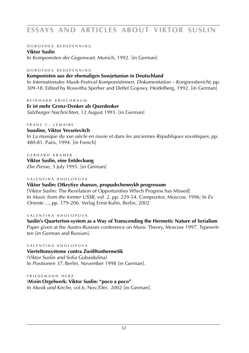# **essays and articles about viktor suslin**

#### D O R O T H E A R E D E P E N N I N G

**Viktor Suslin** In *Komponisten der Gegenwart.* Munich, 1992. [in German]

#### D O R O T H E A R E D E P E N N I N C

#### **Komponisten aus der ehemaligen Sowjetunion in Deutschland**

In *Internationales Musik-Festival Komponistinnen, Dokumentation – Kongressbericht*, pp. 309-18. Edited by Roswitha Sperber and Detlef Gojowy. Heidelberg, 1992. [in German]

#### R E I N H A R D K R I E C H B A U M

**Er ist mehr Grenz-Denker als Querdenker** *Salzburger Nachrichten*, 12 August 1993. [in German]

#### FRANS C. LEMAIRE

#### **Sousline, Viktor Yevseïevitch** In *La musique du xxe siècle en russie et dans les anciennes Républiques soviétiques*, pp.

480-81. Paris, 1994. [in French]

GERHARD KRAMER **Viktor Suslin, eine Entdeckung** *Die Presse*, 3 July 1995. [in German]

#### V A L E N T I N A K H O L O P O V A

#### **Viktor Suslin: Otkrytiye shansov, propushchennykh progressom**

[Viktor Suslin: The Revelation of Opportunities Which Progress has Missed] In *Music from the former USSR*, vol. 2, pp. 229-54. Compozitor, Moscow, 1996; In *Ex Oriente ...*, pp. 179-206. Verlag Ernst Kuhn, Berlin, 2002

#### VALENTINA KHOLOPOVA

**Suslin's Quarterton-system as a Way of Transcending the Hermetic Nature of Serialism** Paper given at the Austro-Russian conference on Music Theory, Moscow 1997. Typewritten [in German and Russian].

#### VALENTINA KHOLOPOVA

#### **Vierteltonsysteme contra Zwölftonhermetik** (Viktor Suslin and Sofia Gubaidulina) In *Positionen 37*, Berlin, November 1998 [in German].

FRIEDEMANN HERZ (**M**)**ein Orgelwerk: Viktor Suslin: "poco a poco"** In *Musik und Kirche*, vol.6, Nov./Dec. 2002 [in German].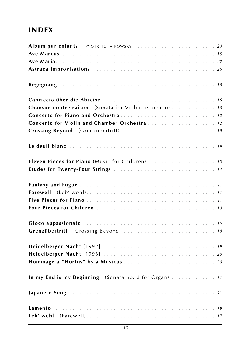# **index**

| Album pur enfants [PYOTR TCHAIKOWSKY] 23               |  |
|--------------------------------------------------------|--|
|                                                        |  |
|                                                        |  |
|                                                        |  |
|                                                        |  |
|                                                        |  |
| Chanson contre raison (Sonata for Violoncello solo) 18 |  |
|                                                        |  |
| Concerto for Violin and Chamber Orchestra  12          |  |
|                                                        |  |
|                                                        |  |
|                                                        |  |
|                                                        |  |
|                                                        |  |
|                                                        |  |
|                                                        |  |
|                                                        |  |
|                                                        |  |
|                                                        |  |
|                                                        |  |
|                                                        |  |
|                                                        |  |
| In my End is my Beginning (Sonata no. 2 for Organ)  17 |  |
|                                                        |  |
|                                                        |  |
|                                                        |  |